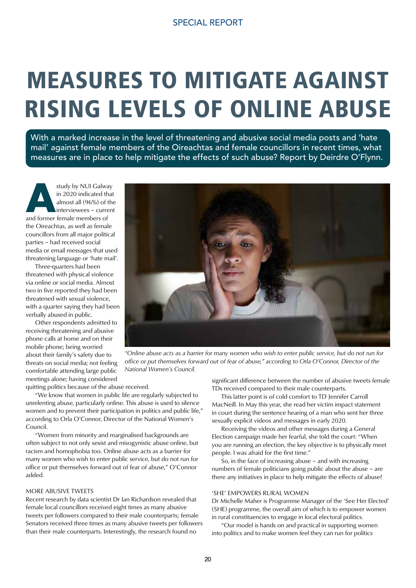# MEASURES TO MITIGATE AGAINST RISING LEVELS OF ONLINE ABUSE

With a marked increase in the level of threatening and abusive social media posts and 'hate mail' against female members of the Oireachtas and female councillors in recent times, what measures are in place to help mitigate the effects of such abuse? Report by Deirdre O'Flynn.

**A**study by NUI Galway and former female members of in 2020 indicated that almost all (96%) of the interviewees – current the Oireachtas, as well as female councillors from all major political parties – had received social media or email messages that used threatening language or 'hate mail'.

 Three-quarters had been threatened with physical violence via online or social media. Almost two in five reported they had been threatened with sexual violence, with a quarter saying they had been verbally abused in public.

 Other respondents admitted to receiving threatening and abusive phone calls at home and on their mobile phone; being worried about their family's safety due to threats on social media; not feeling comfortable attending large public meetings alone; having considered

quitting politics because of the abuse received.

 "We know that women in public life are regularly subjected to unrelenting abuse, particularly online. This abuse is used to silence women and to prevent their participation in politics and public life," according to Orla O'Connor, Director of the National Women's Council.

 "Women from minority and marginalised backgrounds are often subject to not only sexist and misogynistic abuse online, but racism and homophobia too. Online abuse acts as a barrier for many women who wish to enter public service, but do not run for office or put themselves forward out of fear of abuse," O'Connor added.

#### MORE ABUSIVE TWEETS

Recent research by data scientist Dr Ian Richardson revealed that female local councillors received eight times as many abusive tweets per followers compared to their male counterparts; female Senators received three times as many abusive tweets per followers than their male counterparts. Interestingly, the research found no



*"Online abuse acts as a barrier for many women who wish to enter public service, but do not run for office or put themselves forward out of fear of abuse," according to Orla O'Connor, Director of the National Women's Council.*

significant difference between the number of abusive tweets female TDs received compared to their male counterparts.

 This latter point is of cold comfort to TD Jennifer Carroll MacNeill. In May this year, she read her victim impact statement in court during the sentence hearing of a man who sent her three sexually explicit videos and messages in early 2020.

 Receiving the videos and other messages during a General Election campaign made her fearful, she told the court: "When you are running an election, the key objective is to physically meet people. I was afraid for the first time."

 So, in the face of increasing abuse – and with increasing numbers of female politicians going public about the abuse – are there any initiatives in place to help mitigate the effects of abuse?

#### 'SHE' EMPOWERS RURAL WOMEN

Dr Michelle Maher is Programme Manager of the 'See Her Elected' (SHE) programme, the overall aim of which is to empower women in rural constituencies to engage in local electoral politics.

 "Our model is hands on and practical in supporting women into politics and to make women feel they can run for politics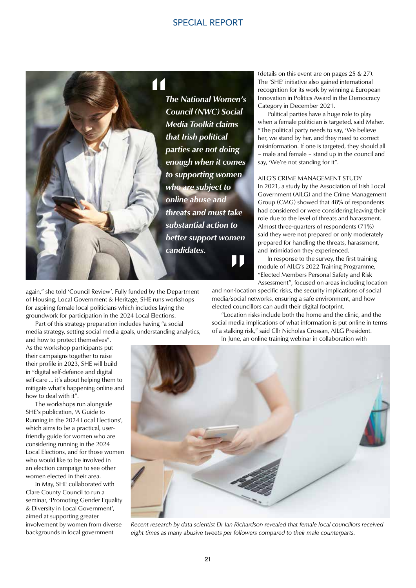# SPECIAL REPORT



again," she told 'Council Review'. Fully funded by the Department of Housing, Local Government & Heritage, SHE runs workshops for aspiring female local politicians which includes laying the groundwork for participation in the 2024 Local Elections.

 Part of this strategy preparation includes having "a social media strategy, setting social media goals, understanding analytics,

and how to protect themselves". As the workshop participants put their campaigns together to raise their profile in 2023, SHE will build in "digital self-defence and digital self-care … it's about helping them to mitigate what's happening online and how to deal with it".

 The workshops run alongside SHE's publication, 'A Guide to Running in the 2024 Local Elections', which aims to be a practical, userfriendly guide for women who are considering running in the 2024 Local Elections, and for those women who would like to be involved in an election campaign to see other women elected in their area.

 In May, SHE collaborated with Clare County Council to run a seminar, 'Promoting Gender Equality & Diversity in Local Government', aimed at supporting greater involvement by women from diverse backgrounds in local government

*The National Women's Council (NWC) Social Media Toolkit claims that Irish political parties are not doing enough when it comes to supporting women who are subject to online abuse and threats and must take substantial action to better support women*<br> **candidates.** *candidates.*

(details on this event are on pages 25 & 27). The 'SHE' initiative also gained international recognition for its work by winning a European Innovation in Politics Award in the Democracy Category in December 2021.

 Political parties have a huge role to play when a female politician is targeted, said Maher. "The political party needs to say, 'We believe her, we stand by her, and they need to correct misinformation. If one is targeted, they should all – male and female – stand up in the council and say, 'We're not standing for it".

#### AILG'S CRIME MANAGEMENT STUDY

In 2021, a study by the Association of Irish Local Government (AILG) and the Crime Management Group (CMG) showed that 48% of respondents had considered or were considering leaving their role due to the level of threats and harassment. Almost three-quarters of respondents (71%) said they were not prepared or only moderately prepared for handling the threats, harassment, and intimidation they experienced.

 In response to the survey, the first training module of AILG's 2022 Training Programme, "Elected Members Personal Safety and Risk Assessment", focused on areas including location

and non-location specific risks, the security implications of social media/social networks, ensuring a safe environment, and how elected councillors can audit their digital footprint.

 "Location risks include both the home and the clinic, and the social media implications of what information is put online in terms of a stalking risk," said Cllr Nicholas Crossan, AILG President. In June, an online training webinar in collaboration with



*Recent research by data scientist Dr Ian Richardson revealed that female local councillors received eight times as many abusive tweets per followers compared to their male counterparts.*